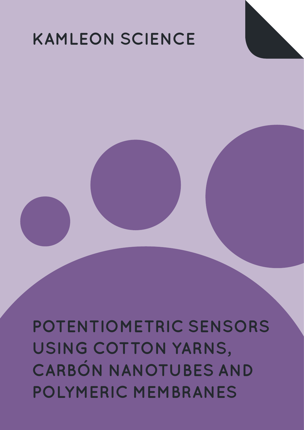# **KAMLEON SCIENCE**

**POTENTIOMETRIC SENSORS USING COTTON YARNS, CARBÓN NANOTUBES AND POLYMERIC MEMBRANES**